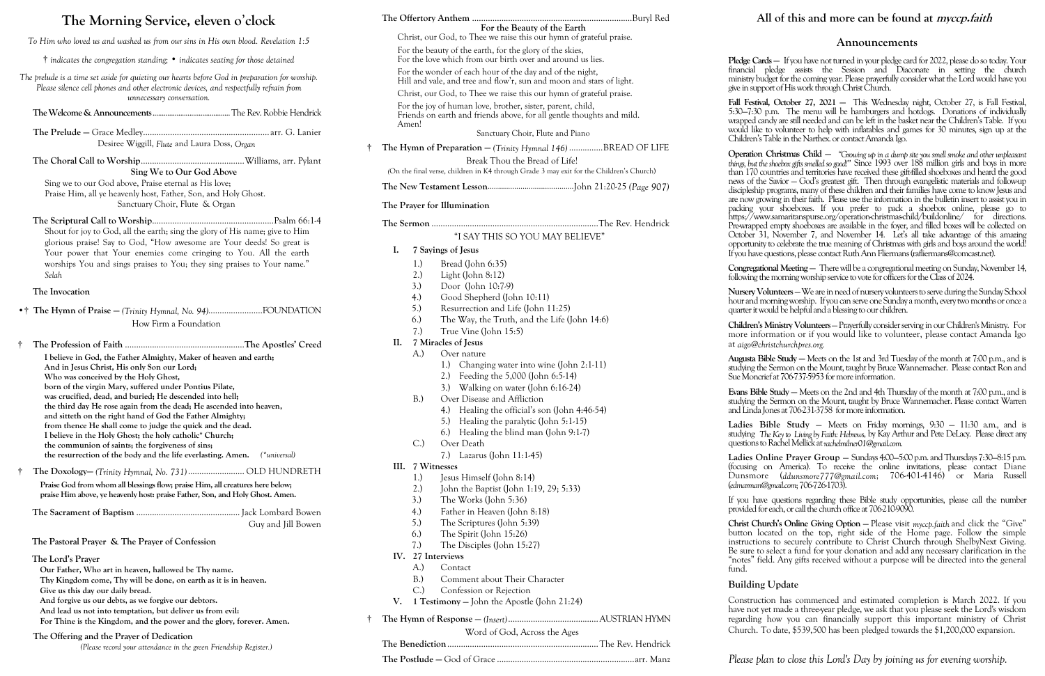# **The Morning Service, eleven o**'**clock**

*To Him who loved us and washed us from our sins in His own blood. Revelation 1:5*

† *indicates the congregation standing;* • *indicates seating for those detained*

*The prelude is a time set aside for quieting our hearts before God in preparation for worship. Please silence cell phones and other electronic devices, and respectfully refrain from unnecessary conversation.*

**The Welcome & Announcements**..........................................The Rev. Robbie Hendrick

**The Prelude —** Grace Medley........................................................ arr. G. Lanier Desiree Wiggill, *Flute* and Laura Doss, *Organ*

**The Choral Call to Worship**..............................................Williams, arr. Pylant **Sing We to Our God Above**

Sing we to our God above, Praise eternal as His love; Praise Him, all ye heavenly host, Father, Son, and Holy Ghost. Sanctuary Choir, Flute & Organ

**The Scriptural Call to Worship**......................................................Psalm 66:1-4 Shout for joy to God, all the earth; sing the glory of His name; give to Him glorious praise! Say to God, "How awesome are Your deeds! So great is Your power that Your enemies come cringing to You. All the earth worships You and sings praises to You; they sing praises to Your name." *Selah*

#### **The Invocation**

•† **The Hymn of Praise —** *(Trinity Hymnal, No. 94)*........................FOUNDATION How Firm a Foundation

† **The Profession of Faith** .....................................................**The Apostles' Creed**

**I believe in God, the Father Almighty, Maker of heaven and earth; And in Jesus Christ, His only Son our Lord; Who was conceived by the Holy Ghost, born of the virgin Mary, suffered under Pontius Pilate, was crucified, dead, and buried; He descended into hell; the third day He rose again from the dead; He ascended into heaven, and sitteth on the right hand of God the Father Almighty; from thence He shall come to judge the quick and the dead. I believe in the Holy Ghost; the holy catholic\* Church; the communion of saints; the forgiveness of sins; the resurrection of the body and the life everlasting. Amen.** *(\*universal)*

† **The Doxology—** *(Trinity Hymnal, No. 731)*......................... OLD HUNDRETH **Praise God from whom all blessings flow; praise Him, all creatures here below;**

**praise Him above, ye heavenly host: praise Father, Son, and Holy Ghost. Amen.**

**The Sacrament of Baptism** .............................................. Jack Lombard Bowen Guy and Jill Bowen

### **The Pastoral Prayer & The Prayer of Confession**

### **The Lord's Prayer**

**Our Father, Who art in heaven, hallowed be Thy name.**

- **Thy Kingdom come, Thy will be done, on earth as it is in heaven.**
- **Give us this day our daily bread.**
- **And forgive us our debts, as we forgive our debtors.**
- **And lead us not into temptation, but deliver us from evil:**
- **For Thine is the Kingdom, and the power and the glory, forever. Amen.**

**Pledge Cards —** If you have not turned in your pledge card for 2022, please do so today. Your financial pledge assists the Session and Diaconate in setting the church try budget for the coming year. Please prayerfully consider what the Lord would have you support of His work through Christ Church.

**Fall Festival, October 27, 2021 —** This Wednesday night, October 27, is Fall Festival, 5:30—7:30 p.m. The menu will be hamburgers and hotdogs. Donations of individually bed candy are still needed and can be left in the basket near the Children's Table. If you like to volunteer to help with inflatables and games for 30 minutes, sign up at the lren's Table in the Narthex. or contact Amanda Igo.

### **The Offering and the Prayer of Dedication**

*(Please record your attendance in the green Friendship Register.)*

**Operation Christmas Child —** *"Growing up in a dump site you smell smoke and other unpleasant but the shoebox gifts smelled so good!*" Since 1993 over 188 million girls and boys in more 170 countries and territories have received these gift-filled shoeboxes and heard the good of the Savior – God's greatest gift. Then through evangelistic materials and follow-up discipleship programs, many of these children and their families have come to know Jesus and ow growing in their faith. Please use the information in the bulletin insert to assist you in packing your shoeboxes. If you prefer to pack a shoebox online, please go to //www.samaritanspurse.org/operation-christmas-child/buildonline/ for directions. rapped empty shoeboxes are available in the foyer, and filled boxes will be collected on ber 31, November 7, and November 14. Let's all take advantage of this amazing rtunity to celebrate the true meaning of Christmas with girls and boys around the world! I have questions, please contact Ruth Ann Fliermans (rafliermans@comcast.net).

**Congregational Meeting —** There will be a congregational meeting on Sunday, November 14, ving the morning worship service to vote for officers for the Class of 2024.

**Nursery Volunteers** —We are in need of nursery volunteers to serve during the Sunday School and morning worship. If you can serve one Sunday a month, every two months or once a ter it would be helpful and a blessing to our children.

**Augusta Bible Study —** Meets on the 1st and 3rd Tuesday of the month at 7:00 p.m., and is ing the Sermon on the Mount, taught by Bruce Wannemacher. Please contact Ron and  $\Lambda$ oncrief at 706-737-5953 for more information.

**Evans Bible Study —** Meets on the 2nd and 4th Thursday of the month at 7:00 p.m., and is ing the Sermon on the Mount, taught by Bruce Wannemacher. Please contact Warren inda Jones at 706-231-3758 for more information.

struction has commenced and estimated completion is March 2022. If you have not yet made a three-year pledge, we ask that you please seek the Lord's wisdom ding how you can financially support this important ministry of Christ Church. To date, \$539,500 has been pledged towards the \$1,200,000 expansion.

Word of God, Across the Ages **The Benediction**...................................................................The Rev. Hendrick

**The Postlude —** God of Grace .............................................................arr. Manz *Please plan to close this Lord's Day by joining us for evening worship.*

### **Announcements**

|                                                            | For the Beauty of the Earth<br>Christ, our God, to Thee we raise this our hymn of grateful praise.                                  |  |
|------------------------------------------------------------|-------------------------------------------------------------------------------------------------------------------------------------|--|
|                                                            | For the beauty of the earth, for the glory of the skies,                                                                            |  |
| For the love which from our birth over and around us lies. |                                                                                                                                     |  |
| For the wonder of each hour of the day and of the night,   |                                                                                                                                     |  |
|                                                            | Hill and vale, and tree and flow'r, sun and moon and stars of light.                                                                |  |
|                                                            | Christ, our God, to Thee we raise this our hymn of grateful praise.                                                                 |  |
| Amen!                                                      | For the joy of human love, brother, sister, parent, child,<br>Friends on earth and friends above, for all gentle thoughts and mild. |  |
|                                                            | Sanctuary Choir, Flute and Piano                                                                                                    |  |
|                                                            | The Hymn of Preparation $-$ (Trinity Hymnal 146) BREAD OF LIFE                                                                      |  |
|                                                            | Break Thou the Bread of Life!                                                                                                       |  |
|                                                            | (On the final verse, children in K4 through Grade 3 may exit for the Children's Church)                                             |  |
|                                                            |                                                                                                                                     |  |
|                                                            |                                                                                                                                     |  |
|                                                            | The Prayer for Illumination                                                                                                         |  |
|                                                            |                                                                                                                                     |  |
|                                                            |                                                                                                                                     |  |
|                                                            | "I SAY THIS SO YOU MAY BELIEVE"                                                                                                     |  |
| I.                                                         | 7 Sayings of Jesus                                                                                                                  |  |
|                                                            | 1.)<br>Bread (John 6:35)                                                                                                            |  |
|                                                            | 2.)<br>Light (John $8:12$ )                                                                                                         |  |
|                                                            | 3.)<br>Door (John 10:7-9)                                                                                                           |  |
|                                                            | Good Shepherd (John 10:11)<br>4.)                                                                                                   |  |
|                                                            | 5.)<br>Resurrection and Life (John 11:25)                                                                                           |  |
|                                                            | 6.)<br>The Way, the Truth, and the Life (John 14:6)                                                                                 |  |
|                                                            | 7.)<br>True Vine (John 15:5)                                                                                                        |  |
| II.                                                        | 7 Miracles of Jesus                                                                                                                 |  |
|                                                            | Over nature<br>A.)                                                                                                                  |  |
|                                                            | 1.)<br>Changing water into wine (John 2:1-11)                                                                                       |  |
|                                                            | Feeding the 5,000 (John 6:5-14)<br>2.)                                                                                              |  |
|                                                            | 3.)<br>Walking on water (John 6:16-24)<br>Over Disease and Affliction<br>B.)                                                        |  |
|                                                            | Healing the official's son (John 4:46-54)<br>4.)                                                                                    |  |
|                                                            | 5.)<br>Healing the paralytic (John 5:1-15)                                                                                          |  |
|                                                            | 6.)<br>Healing the blind man (John 9:1-7)                                                                                           |  |
|                                                            | Over Death<br>C.                                                                                                                    |  |
|                                                            | 7.) Lazarus (John 11:1-45)                                                                                                          |  |
| Ш.                                                         | 7 Witnesses                                                                                                                         |  |
|                                                            | 1.)<br>Jesus Himself (John 8:14)                                                                                                    |  |
|                                                            | 2.)<br>John the Baptist (John 1:19, 29; 5:33)                                                                                       |  |
|                                                            | 3.)<br>The Works (John 5:36)                                                                                                        |  |
|                                                            | 4.)<br>Father in Heaven (John 8:18)                                                                                                 |  |
|                                                            | 5.)<br>The Scriptures (John 5:39)                                                                                                   |  |
|                                                            | 6.)<br>The Spirit (John 15:26)                                                                                                      |  |
|                                                            | 7.)<br>The Disciples (John 15:27)                                                                                                   |  |
| IV.                                                        | 27 Interviews                                                                                                                       |  |
|                                                            | A.)<br>Contact                                                                                                                      |  |
|                                                            | Comment about Their Character<br>$B.$ )                                                                                             |  |
|                                                            | $C$ .)<br>Confession or Rejection                                                                                                   |  |
| V.                                                         | 1 Testimony - John the Apostle (John 21:24)                                                                                         |  |
|                                                            |                                                                                                                                     |  |

**Children's Ministry Volunteers**—Prayerfully consider serving in our Children's Ministry. For information or if you would like to volunteer, please contact Amanda Igo at *aigo@christchurchpres.org.*

**Ladies Bible Study** — Meets on Friday mornings, 9:30 — 11:30 a.m., and is studying *The Key to Living by Faith: Hebrews*, by Kay Arthur and Pete DeLacy. Please direct any questions to Rachel Mellick at *rachelmilner01@gmail.com.*

**Ladies Online Prayer Group** — Sundays 4:00—5:00 p.m. and Thursdays 7:30—8:15 p.m.  $\sin$ g on America). To receive the online invitations, please contact Diane Dunsmore (*ddunsmore777@gmail.com*; 706-401-4146) or Maria Russell (*edmarman@gmail.com*; 706-726-1703).

If you have questions regarding these Bible study opportunities, please call the number provided for each, or call the church office at 706-210-9090.

**Example 3 Church's Online Giving Option** – Please visit *myccp.faith* and click the "Give" on located on the top, right side of the Home page. Follow the simple uctions to securely contribute to Christ Church through ShelbyNext Giving. ure to select a fund for your donation and add any necessary clarification in the es" field. Any gifts received without a purpose will be directed into the general

## **lding Update**

# **All of this and more can be found at myccp.faith**